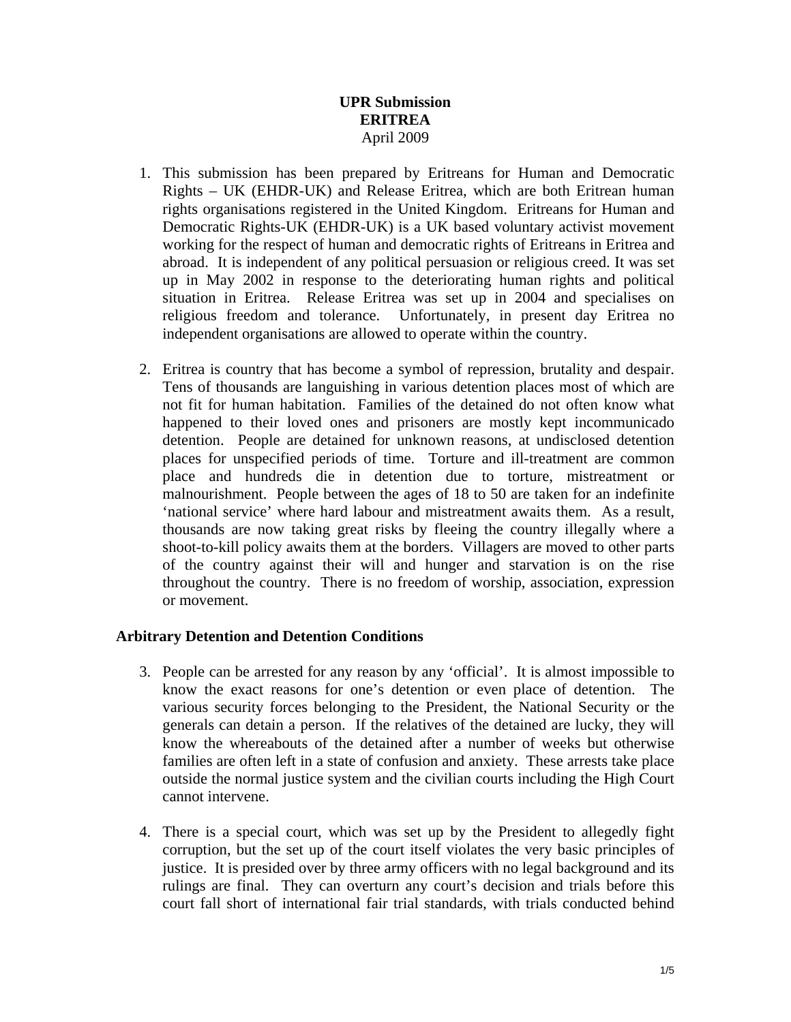# **UPR Submission ERITREA**  April 2009

- 1. This submission has been prepared by Eritreans for Human and Democratic Rights – UK (EHDR-UK) and Release Eritrea, which are both Eritrean human rights organisations registered in the United Kingdom. Eritreans for Human and Democratic Rights-UK (EHDR-UK) is a UK based voluntary activist movement working for the respect of human and democratic rights of Eritreans in Eritrea and abroad. It is independent of any political persuasion or religious creed. It was set up in May 2002 in response to the deteriorating human rights and political situation in Eritrea. Release Eritrea was set up in 2004 and specialises on religious freedom and tolerance. Unfortunately, in present day Eritrea no independent organisations are allowed to operate within the country.
- 2. Eritrea is country that has become a symbol of repression, brutality and despair. Tens of thousands are languishing in various detention places most of which are not fit for human habitation. Families of the detained do not often know what happened to their loved ones and prisoners are mostly kept incommunicado detention. People are detained for unknown reasons, at undisclosed detention places for unspecified periods of time. Torture and ill-treatment are common place and hundreds die in detention due to torture, mistreatment or malnourishment. People between the ages of 18 to 50 are taken for an indefinite 'national service' where hard labour and mistreatment awaits them. As a result, thousands are now taking great risks by fleeing the country illegally where a shoot-to-kill policy awaits them at the borders. Villagers are moved to other parts of the country against their will and hunger and starvation is on the rise throughout the country. There is no freedom of worship, association, expression or movement.

# **Arbitrary Detention and Detention Conditions**

- 3. People can be arrested for any reason by any 'official'. It is almost impossible to know the exact reasons for one's detention or even place of detention. The various security forces belonging to the President, the National Security or the generals can detain a person. If the relatives of the detained are lucky, they will know the whereabouts of the detained after a number of weeks but otherwise families are often left in a state of confusion and anxiety. These arrests take place outside the normal justice system and the civilian courts including the High Court cannot intervene.
- 4. There is a special court, which was set up by the President to allegedly fight corruption, but the set up of the court itself violates the very basic principles of justice. It is presided over by three army officers with no legal background and its rulings are final. They can overturn any court's decision and trials before this court fall short of international fair trial standards, with trials conducted behind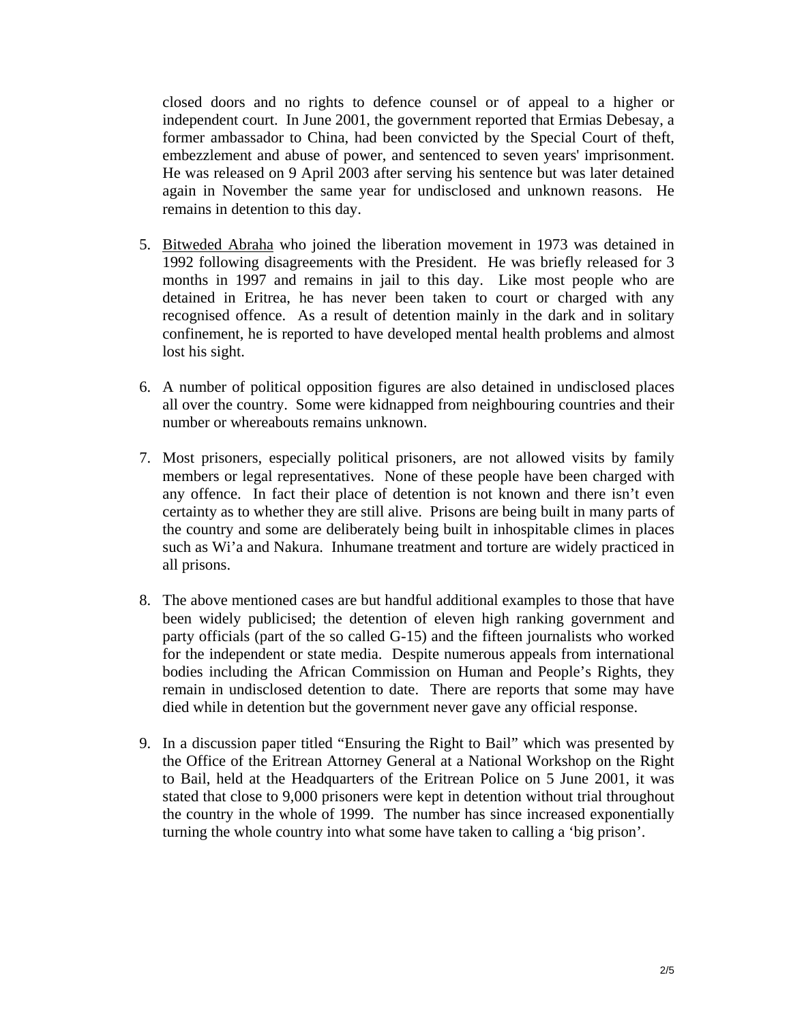closed doors and no rights to defence counsel or of appeal to a higher or independent court. In June 2001, the government reported that Ermias Debesay, a former ambassador to China, had been convicted by the Special Court of theft, embezzlement and abuse of power, and sentenced to seven years' imprisonment. He was released on 9 April 2003 after serving his sentence but was later detained again in November the same year for undisclosed and unknown reasons. He remains in detention to this day.

- 5. Bitweded Abraha who joined the liberation movement in 1973 was detained in 1992 following disagreements with the President. He was briefly released for 3 months in 1997 and remains in jail to this day. Like most people who are detained in Eritrea, he has never been taken to court or charged with any recognised offence. As a result of detention mainly in the dark and in solitary confinement, he is reported to have developed mental health problems and almost lost his sight.
- 6. A number of political opposition figures are also detained in undisclosed places all over the country. Some were kidnapped from neighbouring countries and their number or whereabouts remains unknown.
- 7. Most prisoners, especially political prisoners, are not allowed visits by family members or legal representatives. None of these people have been charged with any offence. In fact their place of detention is not known and there isn't even certainty as to whether they are still alive. Prisons are being built in many parts of the country and some are deliberately being built in inhospitable climes in places such as Wi'a and Nakura. Inhumane treatment and torture are widely practiced in all prisons.
- 8. The above mentioned cases are but handful additional examples to those that have been widely publicised; the detention of eleven high ranking government and party officials (part of the so called G-15) and the fifteen journalists who worked for the independent or state media. Despite numerous appeals from international bodies including the African Commission on Human and People's Rights, they remain in undisclosed detention to date. There are reports that some may have died while in detention but the government never gave any official response.
- 9. In a discussion paper titled "Ensuring the Right to Bail" which was presented by the Office of the Eritrean Attorney General at a National Workshop on the Right to Bail, held at the Headquarters of the Eritrean Police on 5 June 2001, it was stated that close to 9,000 prisoners were kept in detention without trial throughout the country in the whole of 1999. The number has since increased exponentially turning the whole country into what some have taken to calling a 'big prison'.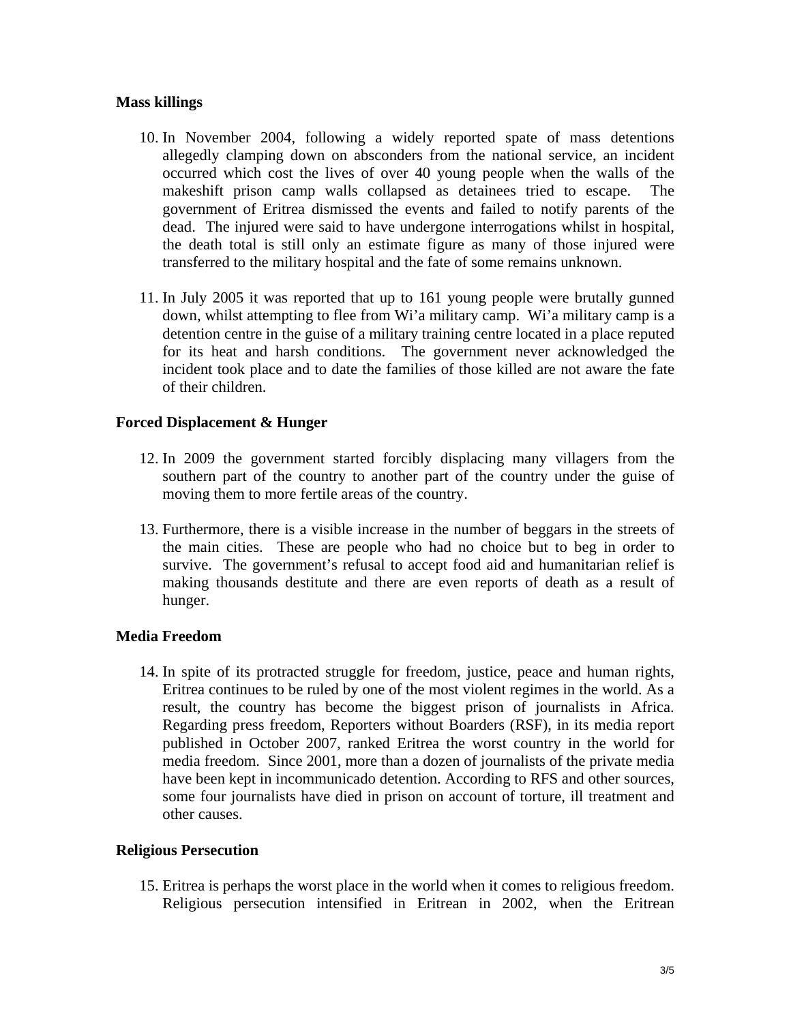### **Mass killings**

- 10. In November 2004, following a widely reported spate of mass detentions allegedly clamping down on absconders from the national service, an incident occurred which cost the lives of over 40 young people when the walls of the makeshift prison camp walls collapsed as detainees tried to escape. The government of Eritrea dismissed the events and failed to notify parents of the dead. The injured were said to have undergone interrogations whilst in hospital, the death total is still only an estimate figure as many of those injured were transferred to the military hospital and the fate of some remains unknown.
- 11. In July 2005 it was reported that up to 161 young people were brutally gunned down, whilst attempting to flee from Wi'a military camp. Wi'a military camp is a detention centre in the guise of a military training centre located in a place reputed for its heat and harsh conditions. The government never acknowledged the incident took place and to date the families of those killed are not aware the fate of their children.

### **Forced Displacement & Hunger**

- 12. In 2009 the government started forcibly displacing many villagers from the southern part of the country to another part of the country under the guise of moving them to more fertile areas of the country.
- 13. Furthermore, there is a visible increase in the number of beggars in the streets of the main cities. These are people who had no choice but to beg in order to survive. The government's refusal to accept food aid and humanitarian relief is making thousands destitute and there are even reports of death as a result of hunger.

### **Media Freedom**

14. In spite of its protracted struggle for freedom, justice, peace and human rights, Eritrea continues to be ruled by one of the most violent regimes in the world. As a result, the country has become the biggest prison of journalists in Africa. Regarding press freedom, Reporters without Boarders (RSF), in its media report published in October 2007, ranked Eritrea the worst country in the world for media freedom. Since 2001, more than a dozen of journalists of the private media have been kept in incommunicado detention. According to RFS and other sources, some four journalists have died in prison on account of torture, ill treatment and other causes.

### **Religious Persecution**

15. Eritrea is perhaps the worst place in the world when it comes to religious freedom. Religious persecution intensified in Eritrean in 2002, when the Eritrean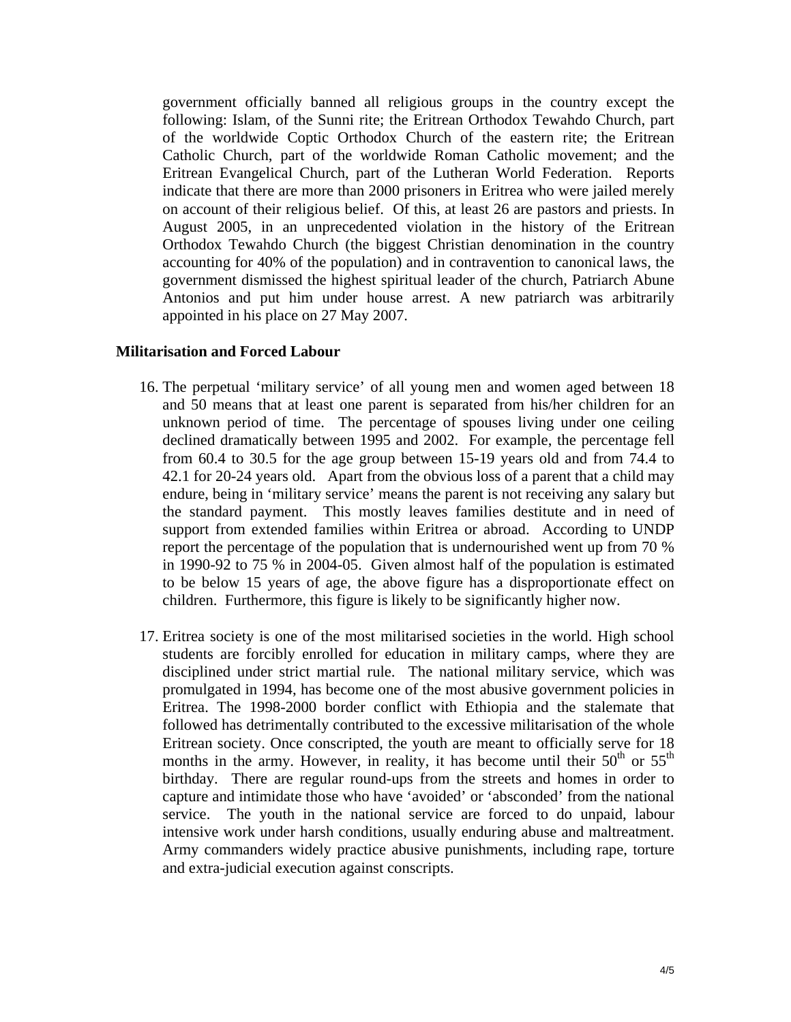government officially banned all religious groups in the country except the following: Islam, of the Sunni rite; the Eritrean Orthodox Tewahdo Church, part of the worldwide Coptic Orthodox Church of the eastern rite; the Eritrean Catholic Church, part of the worldwide Roman Catholic movement; and the Eritrean Evangelical Church, part of the Lutheran World Federation. Reports indicate that there are more than 2000 prisoners in Eritrea who were jailed merely on account of their religious belief. Of this, at least 26 are pastors and priests. In August 2005, in an unprecedented violation in the history of the Eritrean Orthodox Tewahdo Church (the biggest Christian denomination in the country accounting for 40% of the population) and in contravention to canonical laws, the government dismissed the highest spiritual leader of the church, Patriarch Abune Antonios and put him under house arrest. A new patriarch was arbitrarily appointed in his place on 27 May 2007.

#### **Militarisation and Forced Labour**

- 16. The perpetual 'military service' of all young men and women aged between 18 and 50 means that at least one parent is separated from his/her children for an unknown period of time. The percentage of spouses living under one ceiling declined dramatically between 1995 and 2002. For example, the percentage fell from 60.4 to 30.5 for the age group between 15-19 years old and from 74.4 to 42.1 for 20-24 years old. Apart from the obvious loss of a parent that a child may endure, being in 'military service' means the parent is not receiving any salary but the standard payment. This mostly leaves families destitute and in need of support from extended families within Eritrea or abroad. According to UNDP report the percentage of the population that is undernourished went up from 70 % in 1990-92 to 75 % in 2004-05. Given almost half of the population is estimated to be below 15 years of age, the above figure has a disproportionate effect on children. Furthermore, this figure is likely to be significantly higher now.
- 17. Eritrea society is one of the most militarised societies in the world. High school students are forcibly enrolled for education in military camps, where they are disciplined under strict martial rule. The national military service, which was promulgated in 1994, has become one of the most abusive government policies in Eritrea. The 1998-2000 border conflict with Ethiopia and the stalemate that followed has detrimentally contributed to the excessive militarisation of the whole Eritrean society. Once conscripted, the youth are meant to officially serve for 18 months in the army. However, in reality, it has become until their  $50<sup>th</sup>$  or  $55<sup>th</sup>$ birthday. There are regular round-ups from the streets and homes in order to capture and intimidate those who have 'avoided' or 'absconded' from the national service. The youth in the national service are forced to do unpaid, labour intensive work under harsh conditions, usually enduring abuse and maltreatment. Army commanders widely practice abusive punishments, including rape, torture and extra-judicial execution against conscripts.